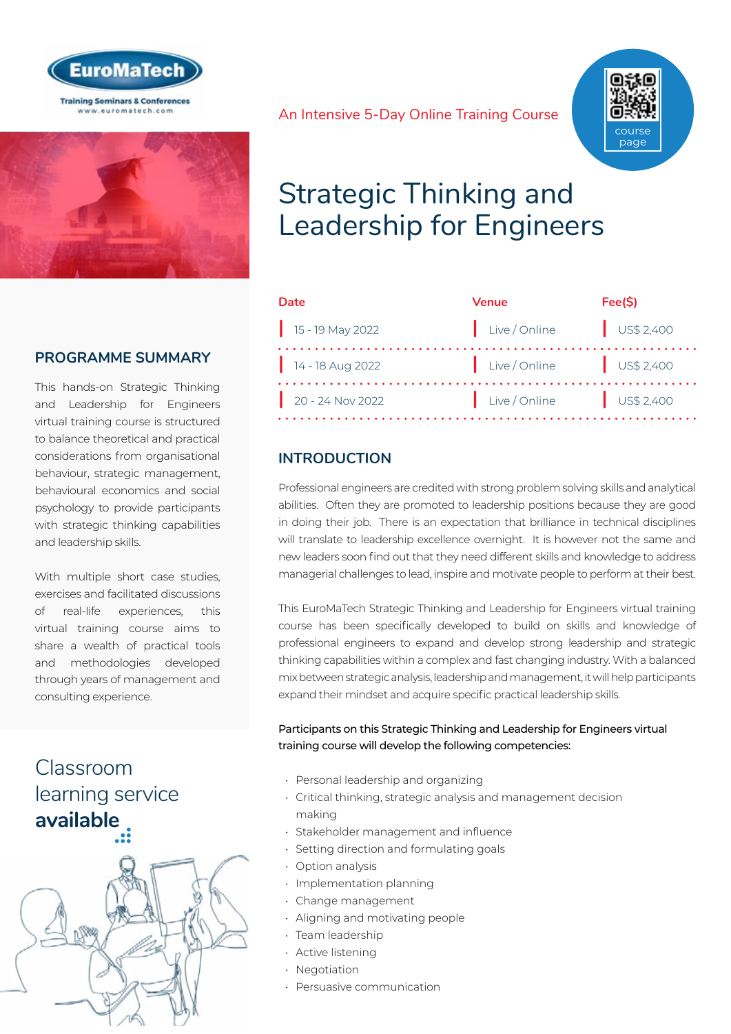



## **PROGRAMME SUMMARY**

This hands-on Strategic Thinking and Leadership for Engineers virtual training course is structured to balance theoretical and practical considerations from organisational behaviour, strategic management, behavioural economics and social psychology to provide participants with strategic thinking capabilities and leadership skills.

With multiple short case studies, exercises and facilitated discussions of real-life experiences, this virtual training course aims to share a wealth of practical tools and methodologies developed through years of management and consulting experience.

## Classroom [learning service](https://www.euromatech.com/seminars/strategic-thinking-leadership-engineers/)  **available**



An Intensive 5-Day Online Training Course



## Strategic Thinking and Leadership for Engineers

| Date               | <b>Venue</b>                                               | Fee(S)    |
|--------------------|------------------------------------------------------------|-----------|
| $15 - 19$ May 2022 | Live / Online                                              | US\$2,400 |
| $14 - 18$ Aug 2022 | $\left  \right $ Live / Online $\left  \right $ US\$ 2,400 |           |
| $20 - 24$ Nov 2022 | $\vert$ Live / Online $\vert$ US\$ 2,400                   |           |

## **INTRODUCTION**

Professional engineers are credited with strong problem solving skills and analytical abilities. Often they are promoted to leadership positions because they are good in doing their job. There is an expectation that brilliance in technical disciplines will translate to leadership excellence overnight. It is however not the same and new leaders soon find out that they need different skills and knowledge to address managerial challenges to lead, inspire and motivate people to perform at their best.

This EuroMaTech Strategic Thinking and Leadership for Engineers virtual training course has been specifically developed to build on skills and knowledge of professional engineers to expand and develop strong leadership and strategic thinking capabilities within a complex and fast changing industry. With a balanced mix between strategic analysis, leadership and management, it will help participants expand their mindset and acquire specific practical leadership skills.

Participants on this Strategic Thinking and Leadership for Engineers virtual training course will develop the following competencies:

- Personal leadership and organizing
- Critical thinking, strategic analysis and management decision making
- Stakeholder management and influence
- Setting direction and formulating goals
- Option analysis
- Implementation planning
- Change management
- Aligning and motivating people
- Team leadership
- Active listening
- Negotiation
- Persuasive communication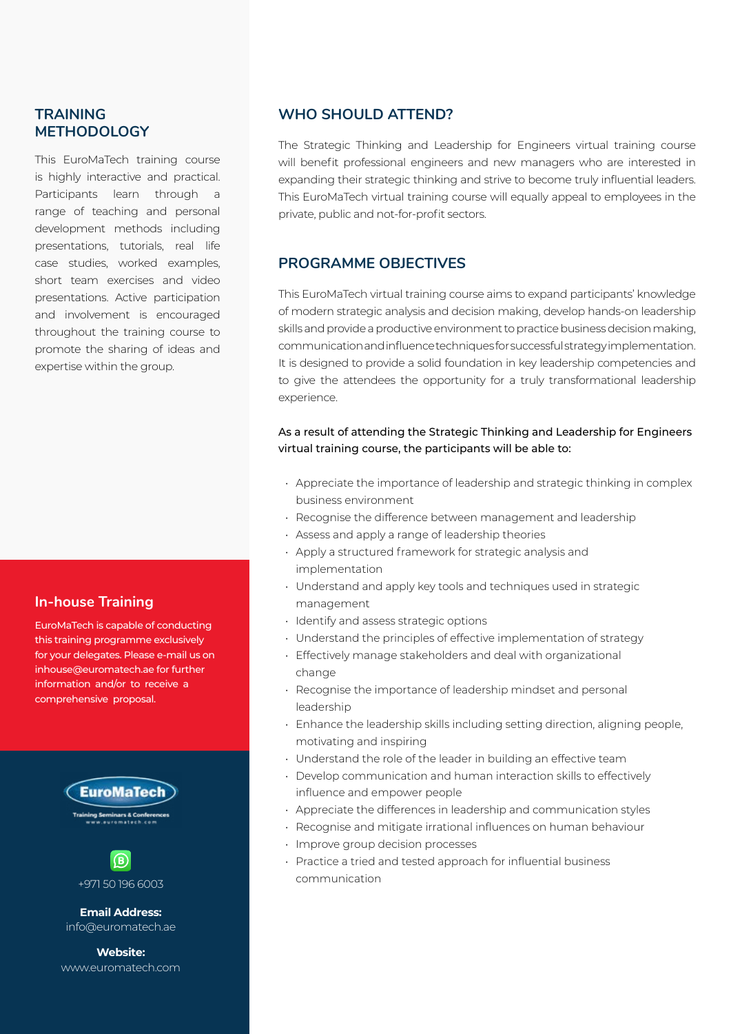## **TRAINING METHODOLOGY**

This EuroMaTech training course is highly interactive and practical. Participants learn through a range of teaching and personal development methods including presentations, tutorials, real life case studies, worked examples, short team exercises and video presentations. Active participation and involvement is encouraged throughout the training course to promote the sharing of ideas and expertise within the group.

## **In-house Training**

EuroMaTech is capable of conducting this training programme exclusively for your delegates. Please e-mail us on inhouse@euromatech.ae for further information and/or to receive a comprehensive proposal.





**Email Address:** info@euromatech.ae

**Website:** www.euromatech.com

### **WHO SHOULD ATTEND?**

The Strategic Thinking and Leadership for Engineers virtual training course will benefit professional engineers and new managers who are interested in expanding their strategic thinking and strive to become truly influential leaders. This EuroMaTech virtual training course will equally appeal to employees in the private, public and not-for-profit sectors.

## **PROGRAMME OBJECTIVES**

This EuroMaTech virtual training course aims to expand participants' knowledge of modern strategic analysis and decision making, develop hands-on leadership skills and provide a productive environment to practice business decision making, communication and influence techniques for successful strategy implementation. It is designed to provide a solid foundation in key leadership competencies and to give the attendees the opportunity for a truly transformational leadership experience.

### As a result of attending the Strategic Thinking and Leadership for Engineers virtual training course, the participants will be able to:

- Appreciate the importance of leadership and strategic thinking in complex business environment
- Recognise the difference between management and leadership
- Assess and apply a range of leadership theories
- Apply a structured framework for strategic analysis and implementation
- Understand and apply key tools and techniques used in strategic management
- Identify and assess strategic options
- Understand the principles of effective implementation of strategy
- Effectively manage stakeholders and deal with organizational change
- Recognise the importance of leadership mindset and personal leadership
- Enhance the leadership skills including setting direction, aligning people, motivating and inspiring
- Understand the role of the leader in building an effective team
- Develop communication and human interaction skills to effectively influence and empower people
- Appreciate the differences in leadership and communication styles
- Recognise and mitigate irrational influences on human behaviour
- Improve group decision processes
- Practice a tried and tested approach for influential business communication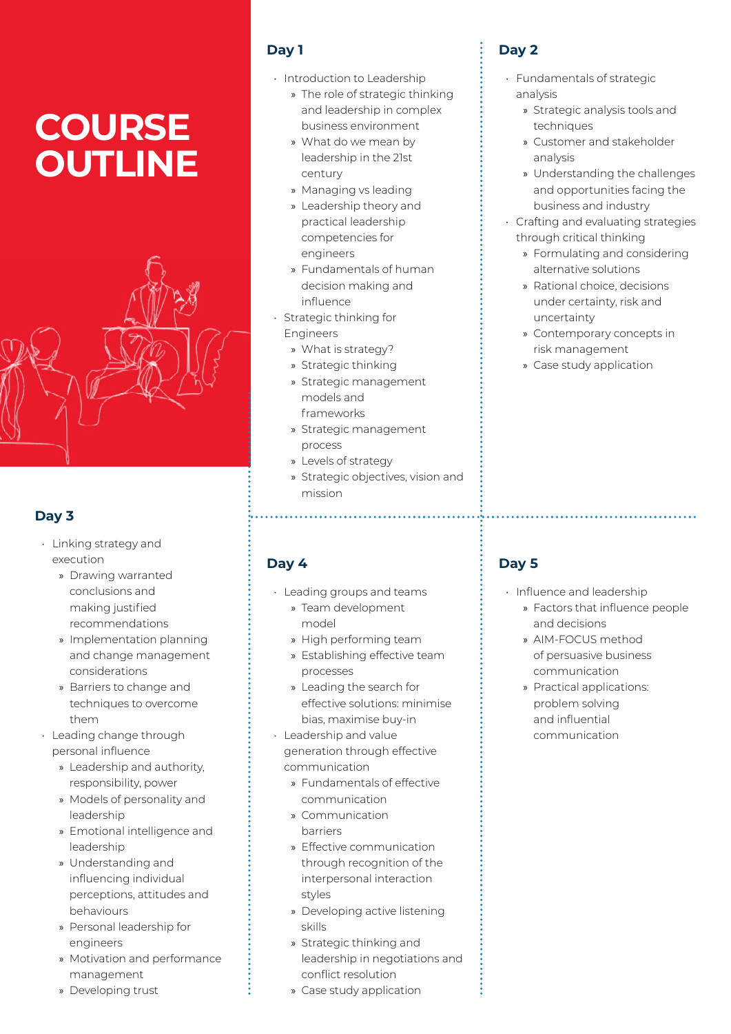# **COURSE OUTLINE**



## **Day 3**

- Linking strategy and execution
	- » Drawing warranted conclusions and making justified recommendations
	- » Implementation planning and change management considerations
	- » Barriers to change and techniques to overcome them
- Leading change through personal influence
	- » Leadership and authority, responsibility, power
	- » Models of personality and leadership
	- » Emotional intelligence and leadership
	- » Understanding and influencing individual perceptions, attitudes and behaviours
	- » Personal leadership for engineers
	- » Motivation and performance management
	- » Developing trust

## **Day 1**

- Introduction to Leadership
	- » The role of strategic thinking and leadership in complex business environment
	- » What do we mean by leadership in the 21st century
	- » Managing vs leading
	- » Leadership theory and practical leadership competencies for engineers
	- » Fundamentals of human decision making and influence
- Strategic thinking for Engineers
	- » What is strategy?
	- » Strategic thinking
	- » Strategic management models and frameworks
	- » Strategic management process

- » Levels of strategy
- » Strategic objectives, vision and mission

## **Day 4**

- Leading groups and teams
	- » Team development model
	- » High performing team
	- » Establishing effective team processes
	- » Leading the search for effective solutions: minimise bias, maximise buy-in
- Leadership and value generation through effective communication
	- » Fundamentals of effective communication
	- » Communication barriers
	- » Effective communication through recognition of the interpersonal interaction styles
	- » Developing active listening skills
	- » Strategic thinking and leadership in negotiations and conflict resolution
	- » Case study application

## **Day 2**

- Fundamentals of strategic analysis
	- » Strategic analysis tools and techniques
	- » Customer and stakeholder analysis
	- » Understanding the challenges and opportunities facing the business and industry
- Crafting and evaluating strategies through critical thinking
	- » Formulating and considering alternative solutions
	- » Rational choice, decisions under certainty, risk and uncertainty
	- » Contemporary concepts in risk management
	- » Case study application

## **Day 5**

• Influence and leadership

- » Factors that influence people and decisions
- » AIM-FOCUS method of persuasive business communication
- » Practical applications: problem solving and influential communication